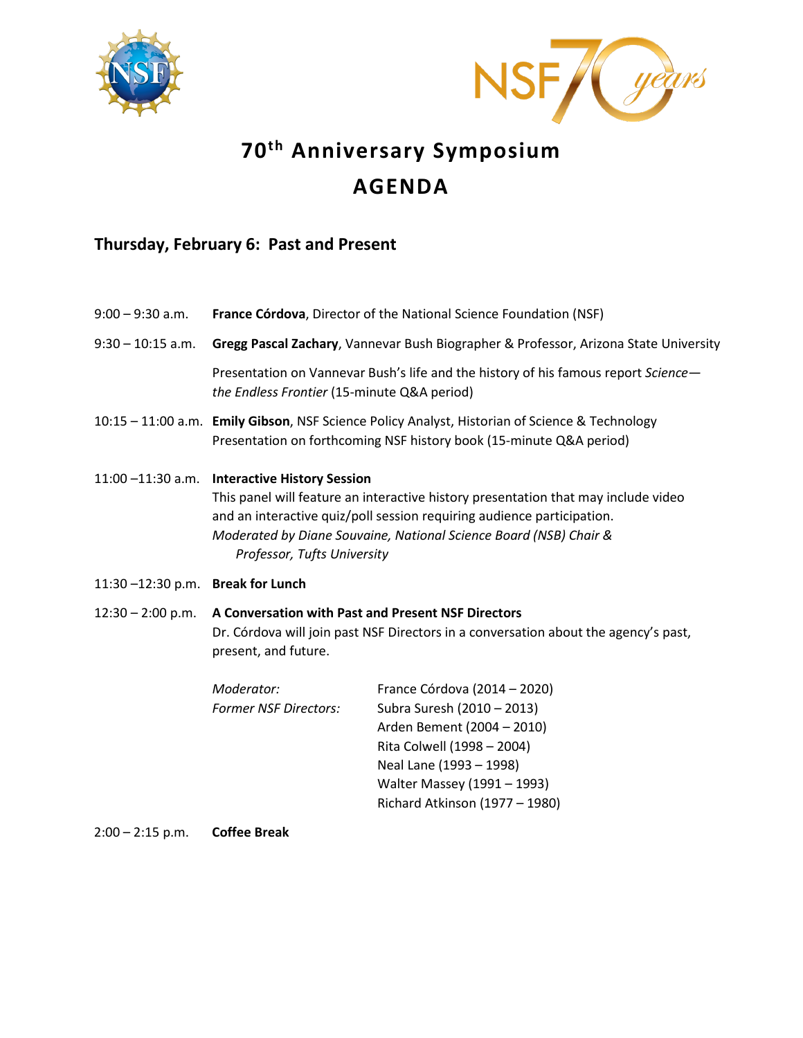



# **70th Anniversary Symposium AGENDA**

# **Thursday, February 6: Past and Present**

| $9:00 - 9:30$ a.m.               |                                                                                                                                                                                                                                                                                                                   | France Córdova, Director of the National Science Foundation (NSF)                                                                                                                                                  |
|----------------------------------|-------------------------------------------------------------------------------------------------------------------------------------------------------------------------------------------------------------------------------------------------------------------------------------------------------------------|--------------------------------------------------------------------------------------------------------------------------------------------------------------------------------------------------------------------|
| $9:30 - 10:15$ a.m.              | Gregg Pascal Zachary, Vannevar Bush Biographer & Professor, Arizona State University                                                                                                                                                                                                                              |                                                                                                                                                                                                                    |
|                                  | Presentation on Vannevar Bush's life and the history of his famous report Science-<br>the Endless Frontier (15-minute Q&A period)                                                                                                                                                                                 |                                                                                                                                                                                                                    |
|                                  |                                                                                                                                                                                                                                                                                                                   | 10:15 - 11:00 a.m. Emily Gibson, NSF Science Policy Analyst, Historian of Science & Technology<br>Presentation on forthcoming NSF history book (15-minute Q&A period)                                              |
|                                  | 11:00 -11:30 a.m. Interactive History Session<br>This panel will feature an interactive history presentation that may include video<br>and an interactive quiz/poll session requiring audience participation.<br>Moderated by Diane Souvaine, National Science Board (NSB) Chair &<br>Professor, Tufts University |                                                                                                                                                                                                                    |
| 11:30-12:30 p.m. Break for Lunch |                                                                                                                                                                                                                                                                                                                   |                                                                                                                                                                                                                    |
| $12:30 - 2:00$ p.m.              | A Conversation with Past and Present NSF Directors<br>Dr. Córdova will join past NSF Directors in a conversation about the agency's past,<br>present, and future.                                                                                                                                                 |                                                                                                                                                                                                                    |
|                                  | Moderator:<br><b>Former NSF Directors:</b>                                                                                                                                                                                                                                                                        | France Córdova (2014 – 2020)<br>Subra Suresh (2010 - 2013)<br>Arden Bement (2004 - 2010)<br>Rita Colwell (1998 - 2004)<br>Neal Lane (1993 - 1998)<br>Walter Massey (1991 - 1993)<br>Richard Atkinson (1977 - 1980) |

2:00 – 2:15 p.m. **Coffee Break**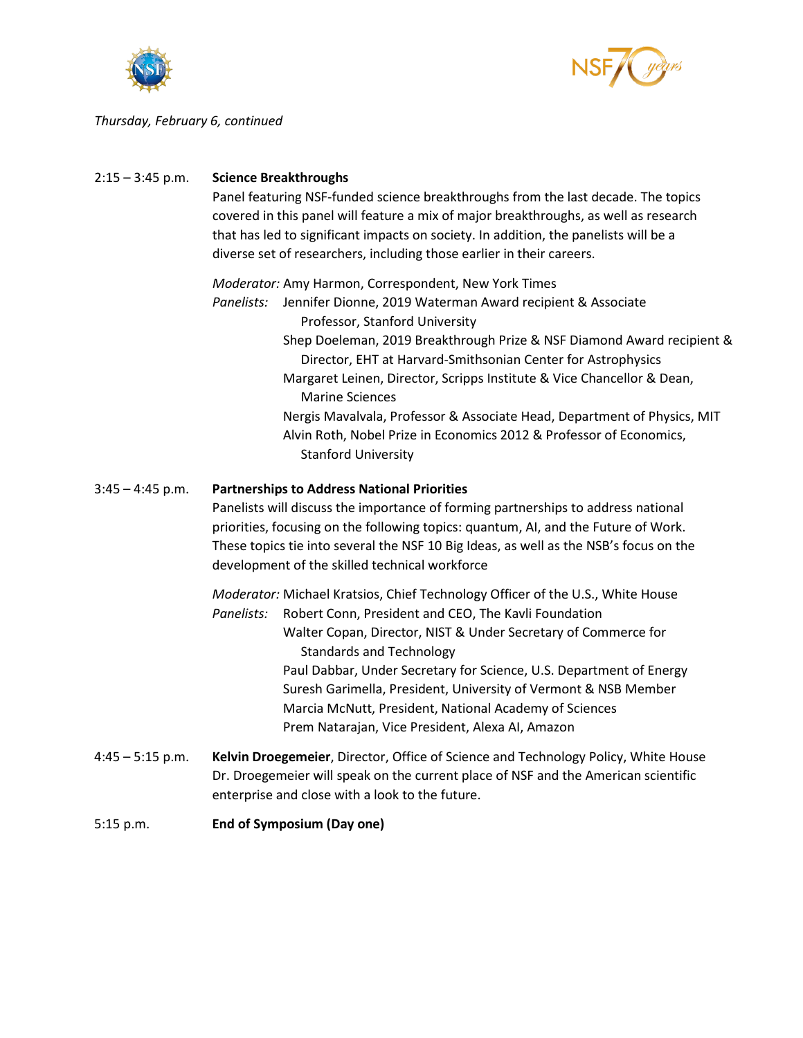



## *Thursday, February 6, continued*

| $2:15 - 3:45$ p.m. | <b>Science Breakthroughs</b><br>Panel featuring NSF-funded science breakthroughs from the last decade. The topics<br>covered in this panel will feature a mix of major breakthroughs, as well as research<br>that has led to significant impacts on society. In addition, the panelists will be a<br>diverse set of researchers, including those earlier in their careers.                                                                                                                                                                                                                        |  |
|--------------------|---------------------------------------------------------------------------------------------------------------------------------------------------------------------------------------------------------------------------------------------------------------------------------------------------------------------------------------------------------------------------------------------------------------------------------------------------------------------------------------------------------------------------------------------------------------------------------------------------|--|
|                    | Moderator: Amy Harmon, Correspondent, New York Times<br>Jennifer Dionne, 2019 Waterman Award recipient & Associate<br>Panelists:<br>Professor, Stanford University<br>Shep Doeleman, 2019 Breakthrough Prize & NSF Diamond Award recipient &<br>Director, EHT at Harvard-Smithsonian Center for Astrophysics<br>Margaret Leinen, Director, Scripps Institute & Vice Chancellor & Dean,<br><b>Marine Sciences</b><br>Nergis Mavalvala, Professor & Associate Head, Department of Physics, MIT<br>Alvin Roth, Nobel Prize in Economics 2012 & Professor of Economics,<br><b>Stanford University</b> |  |
| $3:45 - 4:45$ p.m. | <b>Partnerships to Address National Priorities</b><br>Panelists will discuss the importance of forming partnerships to address national<br>priorities, focusing on the following topics: quantum, AI, and the Future of Work.<br>These topics tie into several the NSF 10 Big Ideas, as well as the NSB's focus on the<br>development of the skilled technical workforce                                                                                                                                                                                                                          |  |
|                    | Moderator: Michael Kratsios, Chief Technology Officer of the U.S., White House<br>Panelists:<br>Robert Conn, President and CEO, The Kavli Foundation<br>Walter Copan, Director, NIST & Under Secretary of Commerce for<br><b>Standards and Technology</b><br>Paul Dabbar, Under Secretary for Science, U.S. Department of Energy<br>Suresh Garimella, President, University of Vermont & NSB Member<br>Marcia McNutt, President, National Academy of Sciences<br>Prem Natarajan, Vice President, Alexa AI, Amazon                                                                                 |  |
| $4:45 - 5:15$ p.m. | Kelvin Droegemeier, Director, Office of Science and Technology Policy, White House<br>Dr. Droegemeier will speak on the current place of NSF and the American scientific<br>enterprise and close with a look to the future.                                                                                                                                                                                                                                                                                                                                                                       |  |
| 5:15 p.m.          | <b>End of Symposium (Day one)</b>                                                                                                                                                                                                                                                                                                                                                                                                                                                                                                                                                                 |  |